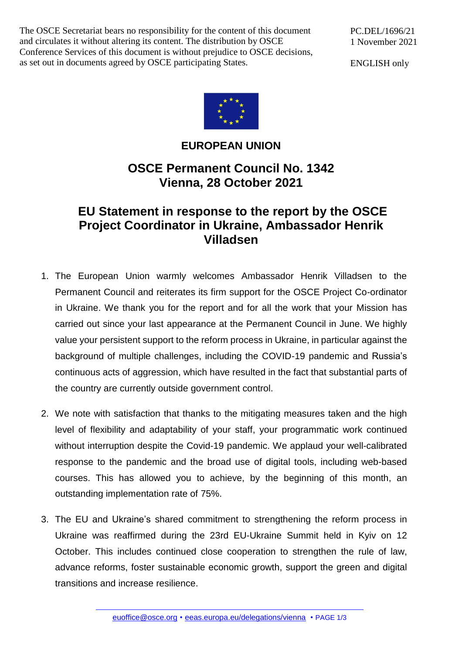The OSCE Secretariat bears no responsibility for the content of this document and circulates it without altering its content. The distribution by OSCE Conference Services of this document is without prejudice to OSCE decisions, as set out in documents agreed by OSCE participating States.

PC.DEL/1696/21 1 November 2021

ENGLISH only



## **EUROPEAN UNION**

## **OSCE Permanent Council No. 1342 Vienna, 28 October 2021**

## **EU Statement in response to the report by the OSCE Project Coordinator in Ukraine, Ambassador Henrik Villadsen**

- 1. The European Union warmly welcomes Ambassador Henrik Villadsen to the Permanent Council and reiterates its firm support for the OSCE Project Co-ordinator in Ukraine. We thank you for the report and for all the work that your Mission has carried out since your last appearance at the Permanent Council in June. We highly value your persistent support to the reform process in Ukraine, in particular against the background of multiple challenges, including the COVID-19 pandemic and Russia's continuous acts of aggression, which have resulted in the fact that substantial parts of the country are currently outside government control.
- 2. We note with satisfaction that thanks to the mitigating measures taken and the high level of flexibility and adaptability of your staff, your programmatic work continued without interruption despite the Covid-19 pandemic. We applaud your well-calibrated response to the pandemic and the broad use of digital tools, including web-based courses. This has allowed you to achieve, by the beginning of this month, an outstanding implementation rate of 75%.
- 3. The EU and Ukraine's shared commitment to strengthening the reform process in Ukraine was reaffirmed during the 23rd EU-Ukraine Summit held in Kyiv on 12 October. This includes continued close cooperation to strengthen the rule of law, advance reforms, foster sustainable economic growth, support the green and digital transitions and increase resilience.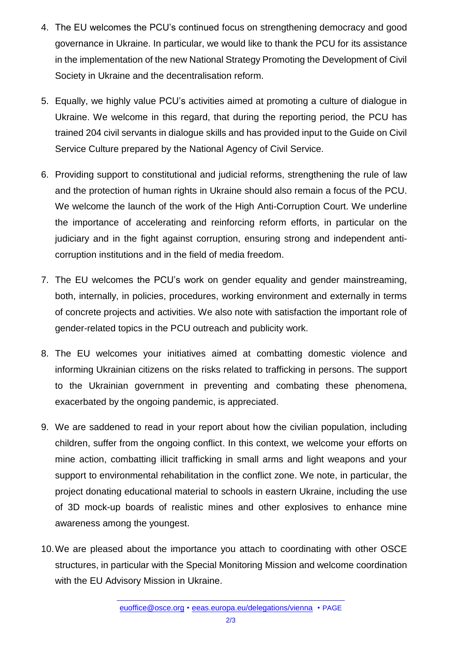- 4. The EU welcomes the PCU's continued focus on strengthening democracy and good governance in Ukraine. In particular, we would like to thank the PCU for its assistance in the implementation of the new National Strategy Promoting the Development of Civil Society in Ukraine and the decentralisation reform.
- 5. Equally, we highly value PCU's activities aimed at promoting a culture of dialogue in Ukraine. We welcome in this regard, that during the reporting period, the PCU has trained 204 civil servants in dialogue skills and has provided input to the Guide on Civil Service Culture prepared by the National Agency of Civil Service.
- 6. Providing support to constitutional and judicial reforms, strengthening the rule of law and the protection of human rights in Ukraine should also remain a focus of the PCU. We welcome the launch of the work of the High Anti-Corruption Court. We underline the importance of accelerating and reinforcing reform efforts, in particular on the judiciary and in the fight against corruption, ensuring strong and independent anticorruption institutions and in the field of media freedom.
- 7. The EU welcomes the PCU's work on gender equality and gender mainstreaming, both, internally, in policies, procedures, working environment and externally in terms of concrete projects and activities. We also note with satisfaction the important role of gender-related topics in the PCU outreach and publicity work.
- 8. The EU welcomes your initiatives aimed at combatting domestic violence and informing Ukrainian citizens on the risks related to trafficking in persons. The support to the Ukrainian government in preventing and combating these phenomena, exacerbated by the ongoing pandemic, is appreciated.
- 9. We are saddened to read in your report about how the civilian population, including children, suffer from the ongoing conflict. In this context, we welcome your efforts on mine action, combatting illicit trafficking in small arms and light weapons and your support to environmental rehabilitation in the conflict zone. We note, in particular, the project donating educational material to schools in eastern Ukraine, including the use of 3D mock-up boards of realistic mines and other explosives to enhance mine awareness among the youngest.
- 10.We are pleased about the importance you attach to coordinating with other OSCE structures, in particular with the Special Monitoring Mission and welcome coordination with the EU Advisory Mission in Ukraine.